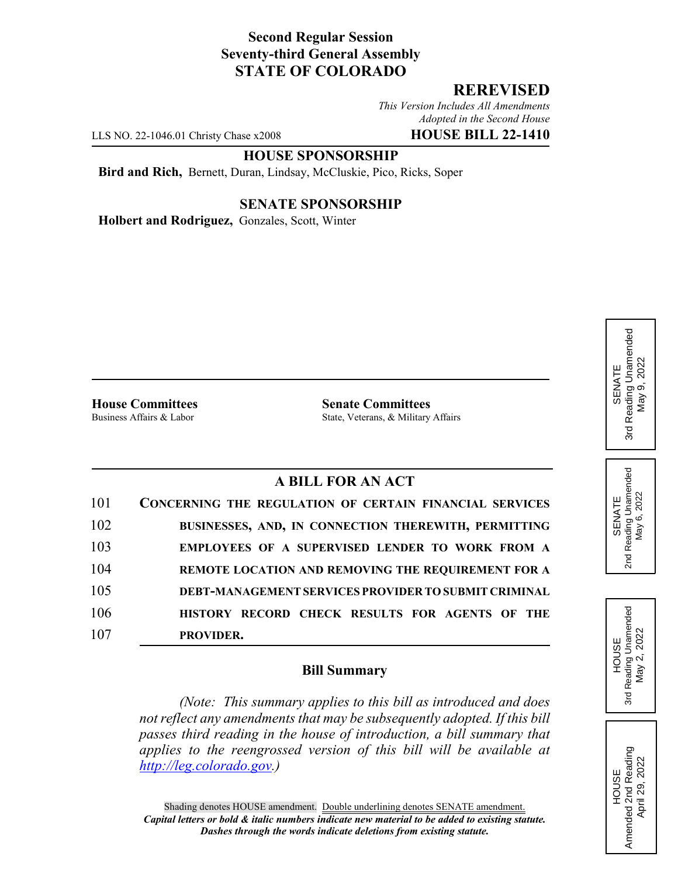## **Second Regular Session Seventy-third General Assembly STATE OF COLORADO**

## **REREVISED**

*This Version Includes All Amendments Adopted in the Second House*

LLS NO. 22-1046.01 Christy Chase x2008 **HOUSE BILL 22-1410**

#### **HOUSE SPONSORSHIP**

**Bird and Rich,** Bernett, Duran, Lindsay, McCluskie, Pico, Ricks, Soper

#### **SENATE SPONSORSHIP**

**Holbert and Rodriguez,** Gonzales, Scott, Winter

**House Committees**<br>Business Affairs & Labor<br>State. Veterans. & Military

State, Veterans, & Military Affairs

### **A BILL FOR AN ACT**

| 101 | CONCERNING THE REGULATION OF CERTAIN FINANCIAL SERVICES |
|-----|---------------------------------------------------------|
| 102 | BUSINESSES, AND, IN CONNECTION THEREWITH, PERMITTING    |
| 103 | EMPLOYEES OF A SUPERVISED LENDER TO WORK FROM A         |
| 104 | REMOTE LOCATION AND REMOVING THE REQUIREMENT FOR A      |
| 105 | DEBT-MANAGEMENT SERVICES PROVIDER TO SUBMIT CRIMINAL    |
| 106 | HISTORY RECORD CHECK RESULTS FOR AGENTS OF THE          |
| 107 | PROVIDER.                                               |

#### **Bill Summary**

*(Note: This summary applies to this bill as introduced and does not reflect any amendments that may be subsequently adopted. If this bill passes third reading in the house of introduction, a bill summary that applies to the reengrossed version of this bill will be available at http://leg.colorado.gov.)*

Reading Unamended 3rd Reading Unamended May 9, 2022 May 9, 2022 SENATE 3rd





HOUSE<br>Amended 2nd Reading Amended 2nd Reading April 29, 2022

April 29, 2022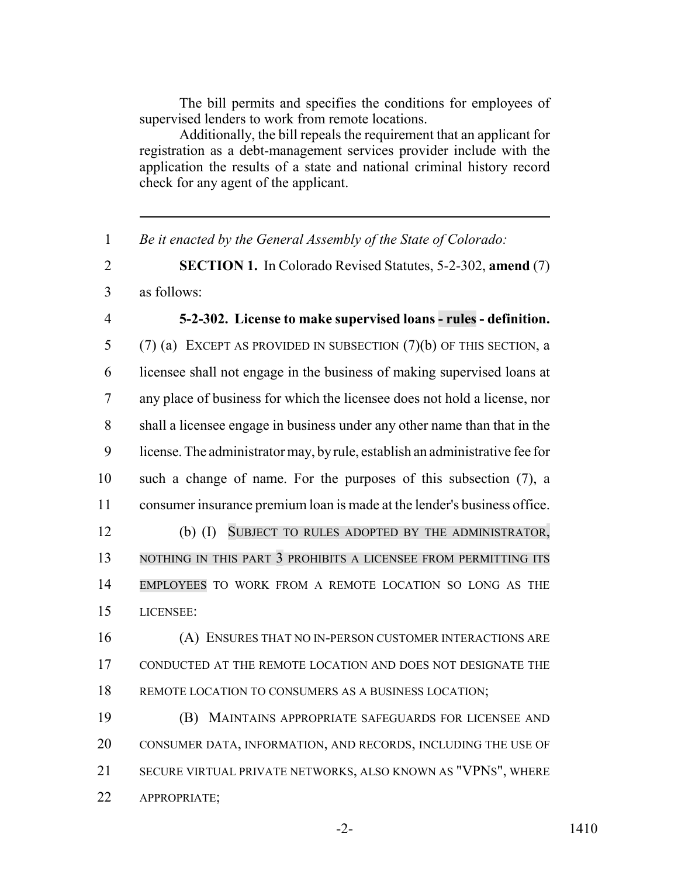The bill permits and specifies the conditions for employees of supervised lenders to work from remote locations.

Additionally, the bill repeals the requirement that an applicant for registration as a debt-management services provider include with the application the results of a state and national criminal history record check for any agent of the applicant.

*Be it enacted by the General Assembly of the State of Colorado:*

 **SECTION 1.** In Colorado Revised Statutes, 5-2-302, **amend** (7) as follows:

 **5-2-302. License to make supervised loans - rules - definition.** (7) (a) EXCEPT AS PROVIDED IN SUBSECTION (7)(b) OF THIS SECTION, a licensee shall not engage in the business of making supervised loans at any place of business for which the licensee does not hold a license, nor shall a licensee engage in business under any other name than that in the license. The administrator may, by rule, establish an administrative fee for such a change of name. For the purposes of this subsection (7), a consumer insurance premium loan is made at the lender's business office.

 (b) (I) SUBJECT TO RULES ADOPTED BY THE ADMINISTRATOR, NOTHING IN THIS PART 3 PROHIBITS A LICENSEE FROM PERMITTING ITS EMPLOYEES TO WORK FROM A REMOTE LOCATION SO LONG AS THE LICENSEE:

 (A) ENSURES THAT NO IN-PERSON CUSTOMER INTERACTIONS ARE CONDUCTED AT THE REMOTE LOCATION AND DOES NOT DESIGNATE THE 18 REMOTE LOCATION TO CONSUMERS AS A BUSINESS LOCATION;

 (B) MAINTAINS APPROPRIATE SAFEGUARDS FOR LICENSEE AND CONSUMER DATA, INFORMATION, AND RECORDS, INCLUDING THE USE OF SECURE VIRTUAL PRIVATE NETWORKS, ALSO KNOWN AS "VPNS", WHERE APPROPRIATE;

-2- 1410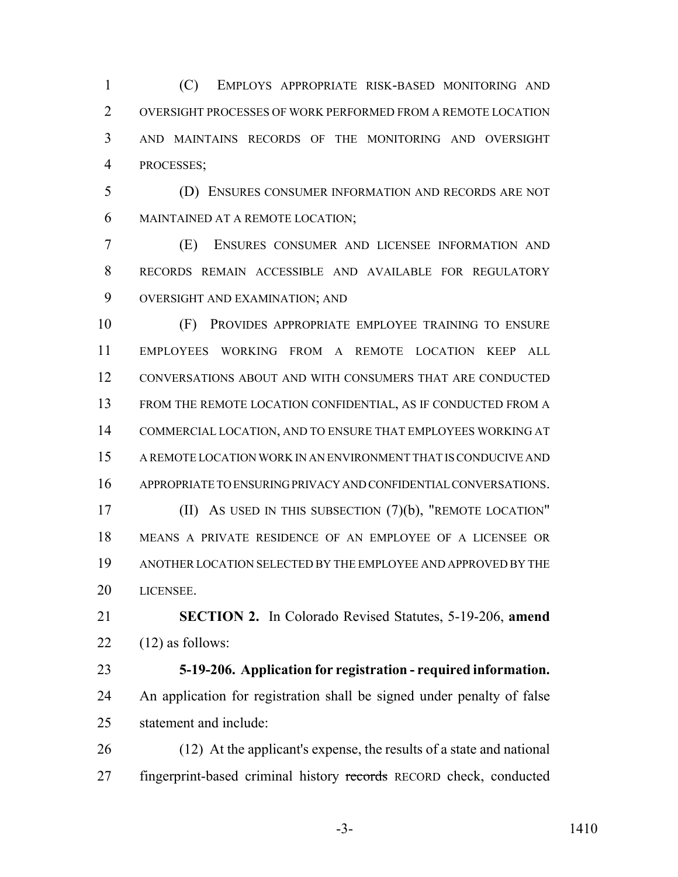(C) EMPLOYS APPROPRIATE RISK-BASED MONITORING AND OVERSIGHT PROCESSES OF WORK PERFORMED FROM A REMOTE LOCATION AND MAINTAINS RECORDS OF THE MONITORING AND OVERSIGHT PROCESSES;

 (D) ENSURES CONSUMER INFORMATION AND RECORDS ARE NOT MAINTAINED AT A REMOTE LOCATION;

 (E) ENSURES CONSUMER AND LICENSEE INFORMATION AND RECORDS REMAIN ACCESSIBLE AND AVAILABLE FOR REGULATORY OVERSIGHT AND EXAMINATION; AND

 (F) PROVIDES APPROPRIATE EMPLOYEE TRAINING TO ENSURE EMPLOYEES WORKING FROM A REMOTE LOCATION KEEP ALL CONVERSATIONS ABOUT AND WITH CONSUMERS THAT ARE CONDUCTED FROM THE REMOTE LOCATION CONFIDENTIAL, AS IF CONDUCTED FROM A COMMERCIAL LOCATION, AND TO ENSURE THAT EMPLOYEES WORKING AT A REMOTE LOCATION WORK IN AN ENVIRONMENT THAT IS CONDUCIVE AND APPROPRIATE TO ENSURING PRIVACY AND CONFIDENTIAL CONVERSATIONS. **(II)** AS USED IN THIS SUBSECTION (7)(b), "REMOTE LOCATION" MEANS A PRIVATE RESIDENCE OF AN EMPLOYEE OF A LICENSEE OR ANOTHER LOCATION SELECTED BY THE EMPLOYEE AND APPROVED BY THE LICENSEE.

 **SECTION 2.** In Colorado Revised Statutes, 5-19-206, **amend** 22  $(12)$  as follows:

# **5-19-206. Application for registration - required information.**

 An application for registration shall be signed under penalty of false statement and include:

 (12) At the applicant's expense, the results of a state and national 27 fingerprint-based criminal history records RECORD check, conducted